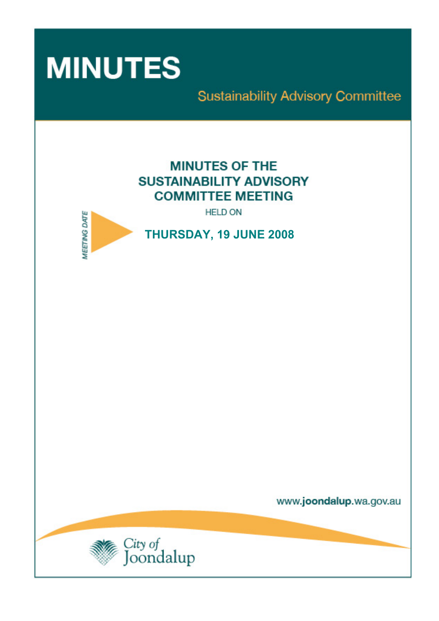

# **Sustainability Advisory Committee**

# **MINUTES OF THE SUSTAINABILITY ADVISORY COMMITTEE MEETING**

**HELD ON** 



**THURSDAY, 19 JUNE 2008** 

www.joondalup.wa.gov.au

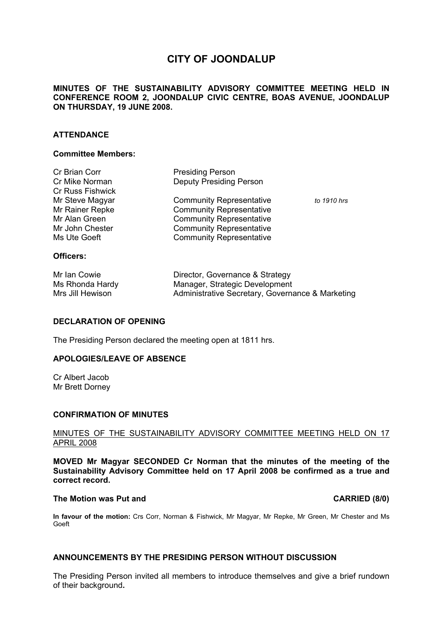## **CITY OF JOONDALUP**

#### **MINUTES OF THE SUSTAINABILITY ADVISORY COMMITTEE MEETING HELD IN CONFERENCE ROOM 2, JOONDALUP CIVIC CENTRE, BOAS AVENUE, JOONDALUP ON THURSDAY, 19 JUNE 2008.**

#### **ATTENDANCE**

#### **Committee Members:**

| $\bigcap$               |                                 |             |
|-------------------------|---------------------------------|-------------|
| Ms Ute Goeft            | <b>Community Representative</b> |             |
| Mr John Chester         | <b>Community Representative</b> |             |
| Mr Alan Green           | <b>Community Representative</b> |             |
| Mr Rainer Repke         | <b>Community Representative</b> |             |
| Mr Steve Magyar         | <b>Community Representative</b> | to 1910 hrs |
| <b>Cr Russ Fishwick</b> |                                 |             |
| Cr Mike Norman          | <b>Deputy Presiding Person</b>  |             |
| Cr Brian Corr           | <b>Presiding Person</b>         |             |

## **Officers:**

| Mr Ian Cowie     | Director, Governance & Strategy                  |
|------------------|--------------------------------------------------|
| Ms Rhonda Hardy  | Manager, Strategic Development                   |
| Mrs Jill Hewison | Administrative Secretary, Governance & Marketing |

#### **DECLARATION OF OPENING**

The Presiding Person declared the meeting open at 1811 hrs.

#### **APOLOGIES/LEAVE OF ABSENCE**

Cr Albert Jacob Mr Brett Dorney

#### **CONFIRMATION OF MINUTES**

#### MINUTES OF THE SUSTAINABILITY ADVISORY COMMITTEE MEETING HELD ON 17 APRIL 2008

**MOVED Mr Magyar SECONDED Cr Norman that the minutes of the meeting of the Sustainability Advisory Committee held on 17 April 2008 be confirmed as a true and correct record.** 

#### **The Motion was Put and CARRIED (8/0) CARRIED (8/0)**

**In favour of the motion:** Crs Corr, Norman & Fishwick, Mr Magyar, Mr Repke, Mr Green, Mr Chester and Ms Goeft

#### **ANNOUNCEMENTS BY THE PRESIDING PERSON WITHOUT DISCUSSION**

The Presiding Person invited all members to introduce themselves and give a brief rundown of their background**.**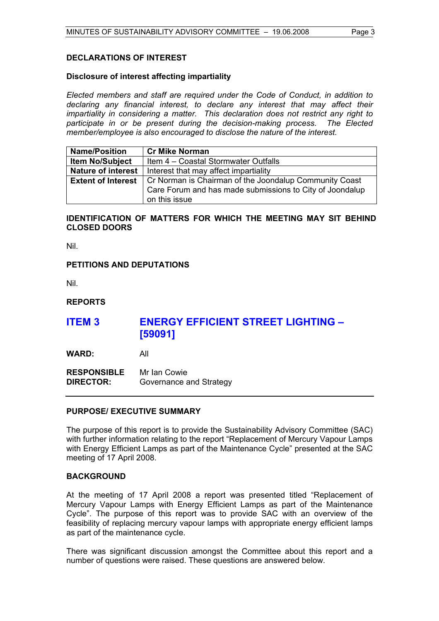#### **DECLARATIONS OF INTEREST**

#### **Disclosure of interest affecting impartiality**

*Elected members and staff are required under the Code of Conduct, in addition to declaring any financial interest, to declare any interest that may affect their impartiality in considering a matter. This declaration does not restrict any right to participate in or be present during the decision-making process. The Elected member/employee is also encouraged to disclose the nature of the interest.* 

| <b>Name/Position</b>      | <b>Cr Mike Norman</b>                                                              |  |
|---------------------------|------------------------------------------------------------------------------------|--|
| <b>Item No/Subject</b>    | Item 4 - Coastal Stormwater Outfalls                                               |  |
| <b>Nature of interest</b> | Interest that may affect impartiality                                              |  |
|                           | <b>Extent of Interest</b>   Cr Norman is Chairman of the Joondalup Community Coast |  |
|                           | Care Forum and has made submissions to City of Joondalup                           |  |
|                           | on this issue                                                                      |  |

### **IDENTIFICATION OF MATTERS FOR WHICH THE MEETING MAY SIT BEHIND CLOSED DOORS**

Nil.

#### **PETITIONS AND DEPUTATIONS**

Nil.

#### **REPORTS**

## **ITEM 3 ENERGY EFFICIENT STREET LIGHTING – [59091]**

**WARD:** All

**RESPONSIBLE** Mr Ian Cowie **DIRECTOR:** Governance and Strategy

#### **PURPOSE/ EXECUTIVE SUMMARY**

The purpose of this report is to provide the Sustainability Advisory Committee (SAC) with further information relating to the report "Replacement of Mercury Vapour Lamps with Energy Efficient Lamps as part of the Maintenance Cycle" presented at the SAC meeting of 17 April 2008.

#### **BACKGROUND**

At the meeting of 17 April 2008 a report was presented titled "Replacement of Mercury Vapour Lamps with Energy Efficient Lamps as part of the Maintenance Cycle". The purpose of this report was to provide SAC with an overview of the feasibility of replacing mercury vapour lamps with appropriate energy efficient lamps as part of the maintenance cycle.

There was significant discussion amongst the Committee about this report and a number of questions were raised. These questions are answered below.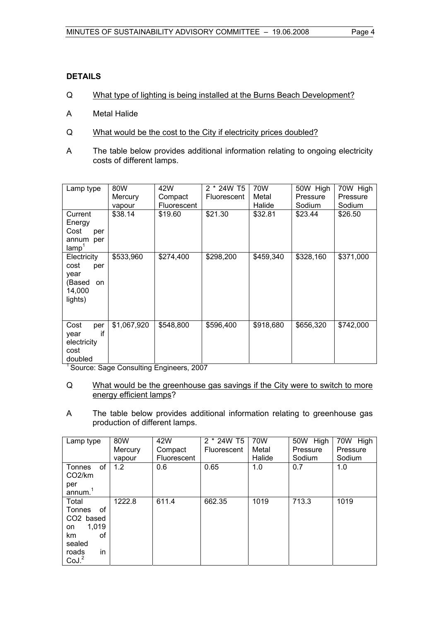### **DETAILS**

- Q What type of lighting is being installed at the Burns Beach Development?
- A Metal Halide
- Q What would be the cost to the City if electricity prices doubled?
- A The table below provides additional information relating to ongoing electricity costs of different lamps.

| Lamp type                                                               | 80W               | 42W                    | 2 * 24W T5         | 70W               | 50W High          | 70W High          |
|-------------------------------------------------------------------------|-------------------|------------------------|--------------------|-------------------|-------------------|-------------------|
|                                                                         | Mercury           | Compact                | <b>Fluorescent</b> | Metal             | Pressure          | Pressure          |
| Current<br>Energy<br>Cost<br>per<br>annum<br>per<br>lamp <sup>'</sup>   | vapour<br>\$38.14 | Fluorescent<br>\$19.60 | \$21.30            | Halide<br>\$32.81 | Sodium<br>\$23.44 | Sodium<br>\$26.50 |
| Electricity<br>cost<br>per<br>year<br>(Based<br>on<br>14,000<br>lights) | \$533,960         | \$274,400              | \$298,200          | \$459,340         | \$328,160         | \$371,000         |
| Cost<br>per<br>if<br>year<br>electricity<br>cost<br>doubled             | \$1,067,920       | \$548,800              | \$596,400          | \$918,680         | \$656,320         | \$742,000         |

<sup>1</sup> Source: Sage Consulting Engineers, 2007

- Q What would be the greenhouse gas savings if the City were to switch to more energy efficient lamps?
- A The table below provides additional information relating to greenhouse gas production of different lamps.

| Lamp type                                                                                                | 80W<br>Mercury<br>vapour | 42W<br>Compact<br><b>Fluorescent</b> | 2 * 24W T5<br><b>Fluorescent</b> | 70W<br>Metal<br>Halide | 50W High<br>Pressure<br>Sodium | 70W High<br>Pressure<br>Sodium |
|----------------------------------------------------------------------------------------------------------|--------------------------|--------------------------------------|----------------------------------|------------------------|--------------------------------|--------------------------------|
| of<br>Tonnes<br>CO <sub>2</sub> /km<br>per<br>annum. <sup>1</sup>                                        | 1.2                      | 0.6                                  | 0.65                             | 1.0                    | 0.7                            | 1.0                            |
| Total<br>0f<br>Tonnes<br>CO2 based<br>1.019<br>on<br>οf<br>km<br>sealed<br>in<br>roads<br>$\text{Col}^2$ | 1222.8                   | 611.4                                | 662.35                           | 1019                   | 713.3                          | 1019                           |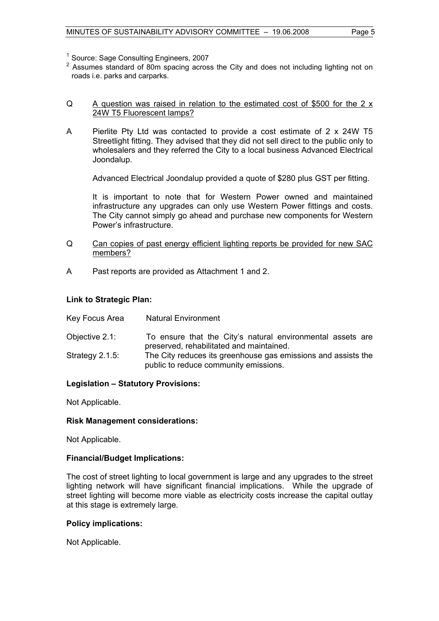- <sup>1</sup> Source: Sage Consulting Engineers, 2007
- <sup>2</sup> Assumes standard of 80m spacing across the City and does not including lighting not on roads i.e. parks and carparks.

#### Q A question was raised in relation to the estimated cost of \$500 for the 2 x 24W T5 Fluorescent lamps?

A Pierlite Pty Ltd was contacted to provide a cost estimate of 2 x 24W T5 Streetlight fitting. They advised that they did not sell direct to the public only to wholesalers and they referred the City to a local business Advanced Electrical Joondalup.

Advanced Electrical Joondalup provided a quote of \$280 plus GST per fitting.

 It is important to note that for Western Power owned and maintained infrastructure any upgrades can only use Western Power fittings and costs. The City cannot simply go ahead and purchase new components for Western Power's infrastructure.

- Q Can copies of past energy efficient lighting reports be provided for new SAC members?
- A Past reports are provided as Attachment 1 and 2.

#### **Link to Strategic Plan:**

- Key Focus Area Natural Environment
- Objective 2.1: To ensure that the City's natural environmental assets are preserved, rehabilitated and maintained.
- Strategy 2.1.5: The City reduces its greenhouse gas emissions and assists the public to reduce community emissions.

### **Legislation – Statutory Provisions:**

Not Applicable.

#### **Risk Management considerations:**

Not Applicable.

#### **Financial/Budget Implications:**

The cost of street lighting to local government is large and any upgrades to the street lighting network will have significant financial implications. While the upgrade of street lighting will become more viable as electricity costs increase the capital outlay at this stage is extremely large.

#### **Policy implications:**

Not Applicable.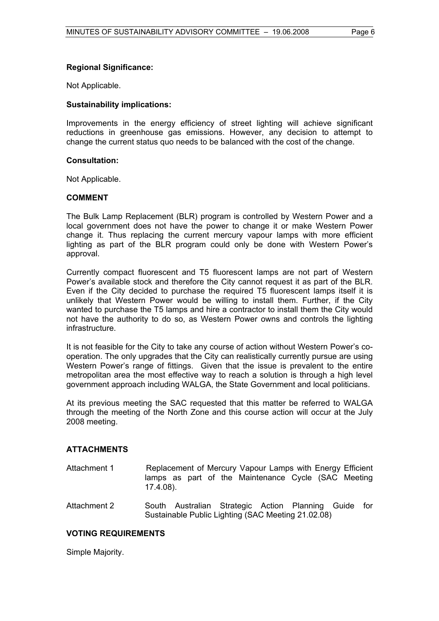### **Regional Significance:**

Not Applicable.

#### **Sustainability implications:**

Improvements in the energy efficiency of street lighting will achieve significant reductions in greenhouse gas emissions. However, any decision to attempt to change the current status quo needs to be balanced with the cost of the change.

#### **Consultation:**

Not Applicable.

#### **COMMENT**

The Bulk Lamp Replacement (BLR) program is controlled by Western Power and a local government does not have the power to change it or make Western Power change it. Thus replacing the current mercury vapour lamps with more efficient lighting as part of the BLR program could only be done with Western Power's approval.

Currently compact fluorescent and T5 fluorescent lamps are not part of Western Power's available stock and therefore the City cannot request it as part of the BLR. Even if the City decided to purchase the required T5 fluorescent lamps itself it is unlikely that Western Power would be willing to install them. Further, if the City wanted to purchase the T5 lamps and hire a contractor to install them the City would not have the authority to do so, as Western Power owns and controls the lighting infrastructure.

It is not feasible for the City to take any course of action without Western Power's cooperation. The only upgrades that the City can realistically currently pursue are using Western Power's range of fittings. Given that the issue is prevalent to the entire metropolitan area the most effective way to reach a solution is through a high level government approach including WALGA, the State Government and local politicians.

At its previous meeting the SAC requested that this matter be referred to WALGA through the meeting of the North Zone and this course action will occur at the July 2008 meeting.

#### **ATTACHMENTS**

- Attachment 1 Replacement of Mercury Vapour Lamps with Energy Efficient lamps as part of the Maintenance Cycle (SAC Meeting 17.4.08).
- Attachment 2 South Australian Strategic Action Planning Guide for Sustainable Public Lighting (SAC Meeting 21.02.08)

#### **VOTING REQUIREMENTS**

Simple Majority.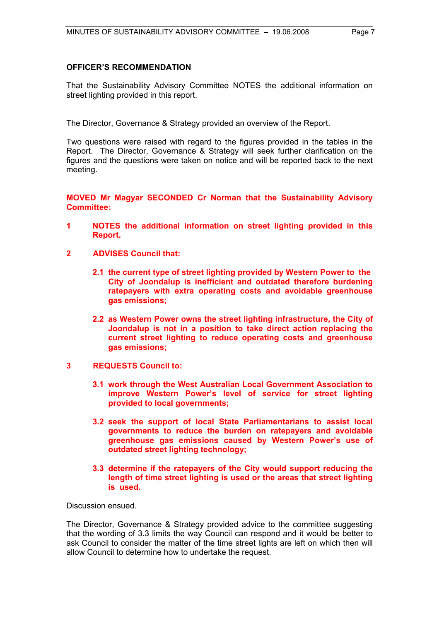#### **OFFICER'S RECOMMENDATION**

That the Sustainability Advisory Committee NOTES the additional information on street lighting provided in this report.

The Director, Governance & Strategy provided an overview of the Report.

Two questions were raised with regard to the figures provided in the tables in the Report. The Director, Governance & Strategy will seek further clarification on the figures and the questions were taken on notice and will be reported back to the next meeting.

**MOVED Mr Magyar SECONDED Cr Norman that the Sustainability Advisory Committee:** 

- **1 NOTES the additional information on street lighting provided in this Report.**
- **2 ADVISES Council that:** 
	- **2.1 the current type of street lighting provided by Western Power to the City of Joondalup is inefficient and outdated therefore burdening ratepayers with extra operating costs and avoidable greenhouse gas emissions;**
	- **2.2 as Western Power owns the street lighting infrastructure, the City of Joondalup is not in a position to take direct action replacing the current street lighting to reduce operating costs and greenhouse gas emissions;**
- **3 REQUESTS Council to:** 
	- **3.1 work through the West Australian Local Government Association to improve Western Power's level of service for street lighting provided to local governments;**
	- **3.2 seek the support of local State Parliamentarians to assist local governments to reduce the burden on ratepayers and avoidable greenhouse gas emissions caused by Western Power's use of outdated street lighting technology;**
	- **3.3 determine if the ratepayers of the City would support reducing the length of time street lighting is used or the areas that street lighting is used.**

Discussion ensued.

The Director, Governance & Strategy provided advice to the committee suggesting that the wording of 3.3 limits the way Council can respond and it would be better to ask Council to consider the matter of the time street lights are left on which then will allow Council to determine how to undertake the request.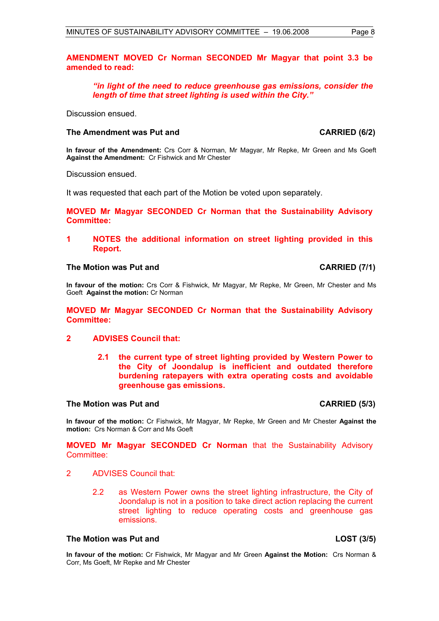**AMENDMENT MOVED Cr Norman SECONDED Mr Magyar that point 3.3 be amended to read:** 

*"in light of the need to reduce greenhouse gas emissions, consider the length of time that street lighting is used within the City."*

Discussion ensued.

#### The Amendment was Put and **CARRIED (6/2) CARRIED** (6/2)

**In favour of the Amendment:** Crs Corr & Norman, Mr Magyar, Mr Repke, Mr Green and Ms Goeft **Against the Amendment:** Cr Fishwick and Mr Chester

Discussion ensued.

It was requested that each part of the Motion be voted upon separately.

**MOVED Mr Magyar SECONDED Cr Norman that the Sustainability Advisory Committee:** 

#### **1 NOTES the additional information on street lighting provided in this Report.**

#### **The Motion was Put and CARRIED (7/1)**

**In favour of the motion:** Crs Corr & Fishwick, Mr Magyar, Mr Repke, Mr Green, Mr Chester and Ms Goeft **Against the motion:** Cr Norman

**MOVED Mr Magyar SECONDED Cr Norman that the Sustainability Advisory Committee:** 

#### **2 ADVISES Council that:**

**2.1 the current type of street lighting provided by Western Power to the City of Joondalup is inefficient and outdated therefore burdening ratepayers with extra operating costs and avoidable greenhouse gas emissions.** 

#### **The Motion was Put and CARRIED (5/3)**

**In favour of the motion:** Cr Fishwick, Mr Magyar, Mr Repke, Mr Green and Mr Chester **Against the motion:** Crs Norman & Corr and Ms Goeft

**MOVED Mr Magyar SECONDED Cr Norman** that the Sustainability Advisory Committee:

- 2 ADVISES Council that:
	- 2.2 as Western Power owns the street lighting infrastructure, the City of Joondalup is not in a position to take direct action replacing the current street lighting to reduce operating costs and greenhouse gas emissions.

#### **The Motion was Put and LOST (3/5)**

**In favour of the motion:** Cr Fishwick, Mr Magyar and Mr Green **Against the Motion:** Crs Norman & Corr, Ms Goeft, Mr Repke and Mr Chester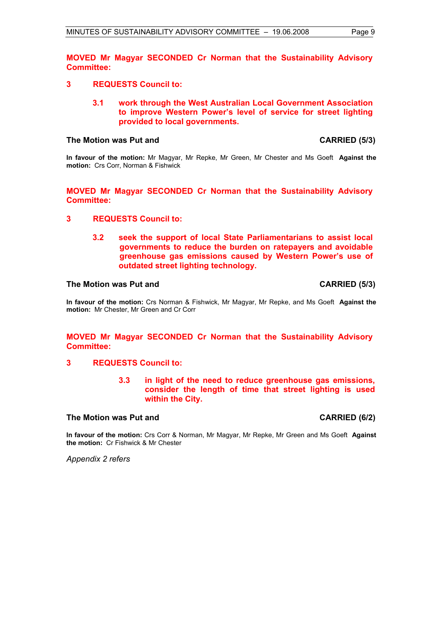**MOVED Mr Magyar SECONDED Cr Norman that the Sustainability Advisory Committee:** 

- **3 REQUESTS Council to:** 
	- **3.1 work through the West Australian Local Government Association to improve Western Power's level of service for street lighting provided to local governments.**

#### The Motion was Put and **CARRIED** (5/3)

**In favour of the motion:** Mr Magyar, Mr Repke, Mr Green, Mr Chester and Ms Goeft **Against the motion:** Crs Corr, Norman & Fishwick

**MOVED Mr Magyar SECONDED Cr Norman that the Sustainability Advisory Committee:** 

- **3 REQUESTS Council to:** 
	- **3.2 seek the support of local State Parliamentarians to assist local governments to reduce the burden on ratepayers and avoidable greenhouse gas emissions caused by Western Power's use of outdated street lighting technology.**

#### The Motion was Put and **CARRIED** (5/3)

**In favour of the motion:** Crs Norman & Fishwick, Mr Magyar, Mr Repke, and Ms Goeft **Against the motion:** Mr Chester, Mr Green and Cr Corr

**MOVED Mr Magyar SECONDED Cr Norman that the Sustainability Advisory Committee:** 

#### **3 REQUESTS Council to:**

**3.3 in light of the need to reduce greenhouse gas emissions, consider the length of time that street lighting is used within the City.** 

### The Motion was Put and **CARRIED** (6/2)

**In favour of the motion:** Crs Corr & Norman, Mr Magyar, Mr Repke, Mr Green and Ms Goeft **Against the motion:** Cr Fishwick & Mr Chester

*Appendix 2 refers*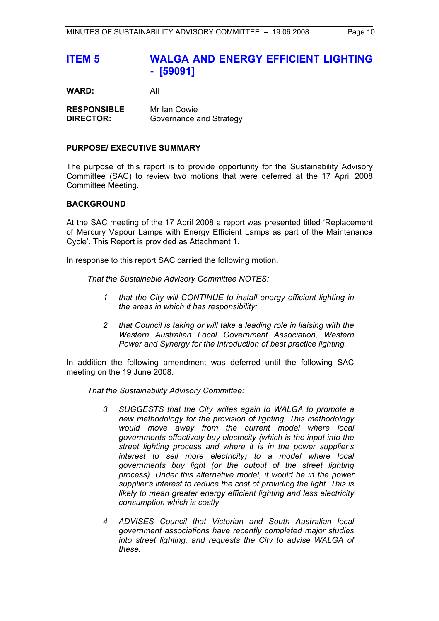## **ITEM 5 WALGA AND ENERGY EFFICIENT LIGHTING - [59091]**

**WARD:** All

**RESPONSIBLE** Mr Ian Cowie **DIRECTOR:** Governance and Strategy

#### **PURPOSE/ EXECUTIVE SUMMARY**

The purpose of this report is to provide opportunity for the Sustainability Advisory Committee (SAC) to review two motions that were deferred at the 17 April 2008 Committee Meeting.

#### **BACKGROUND**

At the SAC meeting of the 17 April 2008 a report was presented titled 'Replacement of Mercury Vapour Lamps with Energy Efficient Lamps as part of the Maintenance Cycle'. This Report is provided as Attachment 1.

In response to this report SAC carried the following motion.

*That the Sustainable Advisory Committee NOTES:* 

- *1 that the City will CONTINUE to install energy efficient lighting in the areas in which it has responsibility;*
- *2 that Council is taking or will take a leading role in liaising with the Western Australian Local Government Association, Western Power and Synergy for the introduction of best practice lighting.*

In addition the following amendment was deferred until the following SAC meeting on the 19 June 2008.

*That the Sustainability Advisory Committee:* 

- *3 SUGGESTS that the City writes again to WALGA to promote a new methodology for the provision of lighting. This methodology would move away from the current model where local governments effectively buy electricity (which is the input into the street lighting process and where it is in the power supplier's interest to sell more electricity) to a model where local governments buy light (or the output of the street lighting process). Under this alternative model, it would be in the power supplier's interest to reduce the cost of providing the light. This is likely to mean greater energy efficient lighting and less electricity consumption which is costly.*
- *4 ADVISES Council that Victorian and South Australian local government associations have recently completed major studies into street lighting, and requests the City to advise WALGA of these.*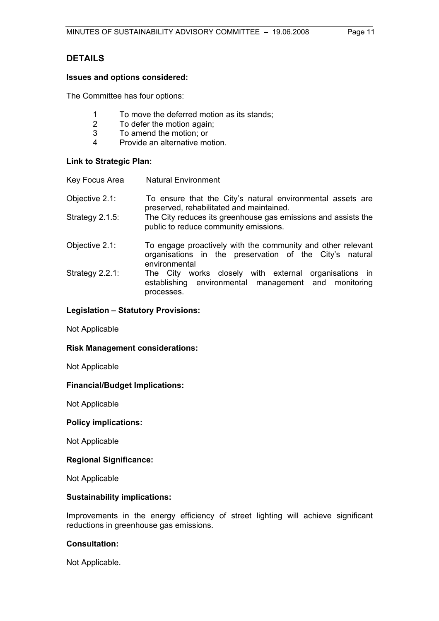## **DETAILS**

### **Issues and options considered:**

The Committee has four options:

- 1 To move the deferred motion as its stands;<br>2 To defer the motion again:
- 2 To defer the motion again;<br>3 To amend the motion: or
- To amend the motion; or
- 4 Provide an alternative motion.

#### **Link to Strategic Plan:**

| Key Focus Area     | <b>Natural Environment</b>                                                                                                              |
|--------------------|-----------------------------------------------------------------------------------------------------------------------------------------|
| Objective 2.1:     | To ensure that the City's natural environmental assets are<br>preserved, rehabilitated and maintained.                                  |
| Strategy $2.1.5$ : | The City reduces its greenhouse gas emissions and assists the<br>public to reduce community emissions.                                  |
| Objective 2.1:     | To engage proactively with the community and other relevant<br>organisations in the preservation of the City's natural<br>environmental |
| Strategy $2.2.1$ : | works closely with external organisations in<br>The City<br>establishing environmental management and monitoring<br>processes.          |

### **Legislation – Statutory Provisions:**

Not Applicable

#### **Risk Management considerations:**

Not Applicable

#### **Financial/Budget Implications:**

Not Applicable

#### **Policy implications:**

Not Applicable

#### **Regional Significance:**

Not Applicable

#### **Sustainability implications:**

Improvements in the energy efficiency of street lighting will achieve significant reductions in greenhouse gas emissions.

#### **Consultation:**

Not Applicable.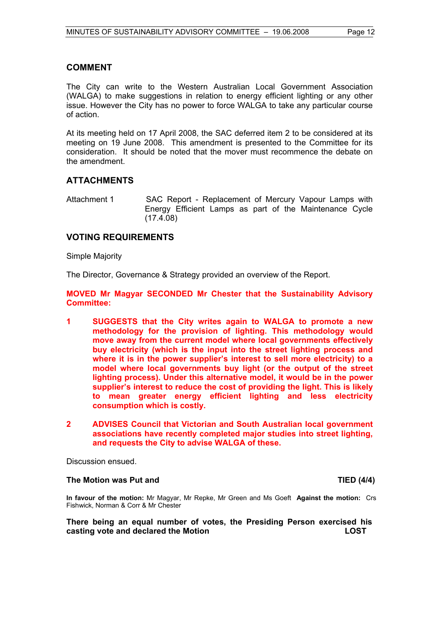### **COMMENT**

The City can write to the Western Australian Local Government Association (WALGA) to make suggestions in relation to energy efficient lighting or any other issue. However the City has no power to force WALGA to take any particular course of action.

At its meeting held on 17 April 2008, the SAC deferred item 2 to be considered at its meeting on 19 June 2008. This amendment is presented to the Committee for its consideration. It should be noted that the mover must recommence the debate on the amendment.

### **ATTACHMENTS**

Attachment 1 SAC Report - Replacement of Mercury Vapour Lamps with Energy Efficient Lamps as part of the Maintenance Cycle  $(17.4.08)$ 

### **VOTING REQUIREMENTS**

Simple Majority

The Director, Governance & Strategy provided an overview of the Report.

**MOVED Mr Magyar SECONDED Mr Chester that the Sustainability Advisory Committee:** 

- **1 SUGGESTS that the City writes again to WALGA to promote a new methodology for the provision of lighting. This methodology would move away from the current model where local governments effectively buy electricity (which is the input into the street lighting process and where it is in the power supplier's interest to sell more electricity) to a model where local governments buy light (or the output of the street lighting process). Under this alternative model, it would be in the power supplier's interest to reduce the cost of providing the light. This is likely to mean greater energy efficient lighting and less electricity consumption which is costly.**
- **2 ADVISES Council that Victorian and South Australian local government associations have recently completed major studies into street lighting, and requests the City to advise WALGA of these.**

Discussion ensued.

#### **The Motion was Put and TIED (4/4) TIED (4/4)**

**In favour of the motion:** Mr Magyar, Mr Repke, Mr Green and Ms Goeft **Against the motion:** Crs Fishwick, Norman & Corr & Mr Chester

**There being an equal number of votes, the Presiding Person exercised his casting vote and declared the Motion LOST**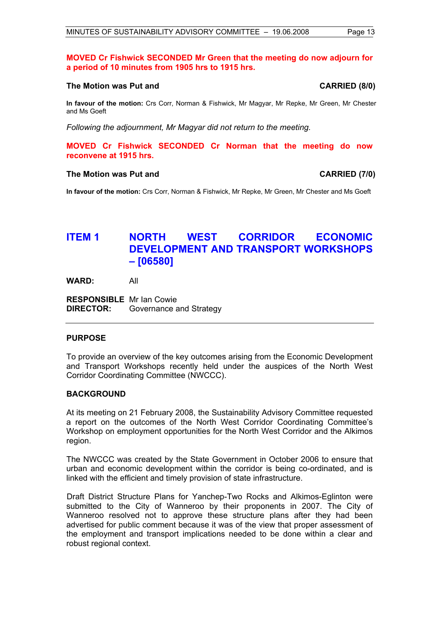#### **MOVED Cr Fishwick SECONDED Mr Green that the meeting do now adjourn for a period of 10 minutes from 1905 hrs to 1915 hrs.**

#### **The Motion was Put and CARRIED (8/0)**

**In favour of the motion:** Crs Corr, Norman & Fishwick, Mr Magyar, Mr Repke, Mr Green, Mr Chester and Ms Goeft

*Following the adjournment, Mr Magyar did not return to the meeting.* 

**MOVED Cr Fishwick SECONDED Cr Norman that the meeting do now reconvene at 1915 hrs.** 

#### **The Motion was Put and CARRIED (7/0)**

**In favour of the motion:** Crs Corr, Norman & Fishwick, Mr Repke, Mr Green, Mr Chester and Ms Goeft

## **ITEM 1 NORTH WEST CORRIDOR ECONOMIC DEVELOPMENT AND TRANSPORT WORKSHOPS – [06580]**

**WARD:** All

**RESPONSIBLE** Mr Ian Cowie **DIRECTOR:** Governance and Strategy

#### **PURPOSE**

To provide an overview of the key outcomes arising from the Economic Development and Transport Workshops recently held under the auspices of the North West Corridor Coordinating Committee (NWCCC).

#### **BACKGROUND**

At its meeting on 21 February 2008, the Sustainability Advisory Committee requested a report on the outcomes of the North West Corridor Coordinating Committee's Workshop on employment opportunities for the North West Corridor and the Alkimos region.

The NWCCC was created by the State Government in October 2006 to ensure that urban and economic development within the corridor is being co-ordinated, and is linked with the efficient and timely provision of state infrastructure.

Draft District Structure Plans for Yanchep-Two Rocks and Alkimos-Eglinton were submitted to the City of Wanneroo by their proponents in 2007. The City of Wanneroo resolved not to approve these structure plans after they had been advertised for public comment because it was of the view that proper assessment of the employment and transport implications needed to be done within a clear and robust regional context.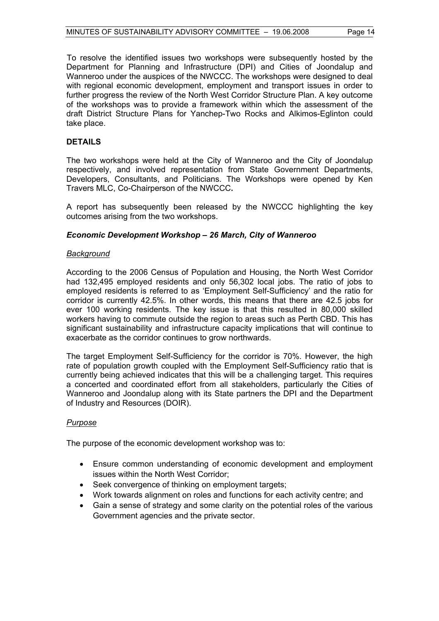To resolve the identified issues two workshops were subsequently hosted by the Department for Planning and Infrastructure (DPI) and Cities of Joondalup and Wanneroo under the auspices of the NWCCC. The workshops were designed to deal with regional economic development, employment and transport issues in order to further progress the review of the North West Corridor Structure Plan. A key outcome of the workshops was to provide a framework within which the assessment of the draft District Structure Plans for Yanchep-Two Rocks and Alkimos-Eglinton could take place.

#### **DETAILS**

The two workshops were held at the City of Wanneroo and the City of Joondalup respectively, and involved representation from State Government Departments, Developers, Consultants, and Politicians. The Workshops were opened by Ken Travers MLC, Co-Chairperson of the NWCCC**.** 

A report has subsequently been released by the NWCCC highlighting the key outcomes arising from the two workshops.

#### *Economic Development Workshop – 26 March, City of Wanneroo*

#### *Background*

According to the 2006 Census of Population and Housing, the North West Corridor had 132,495 employed residents and only 56,302 local jobs. The ratio of jobs to employed residents is referred to as 'Employment Self-Sufficiency' and the ratio for corridor is currently 42.5%. In other words, this means that there are 42.5 jobs for ever 100 working residents. The key issue is that this resulted in 80,000 skilled workers having to commute outside the region to areas such as Perth CBD. This has significant sustainability and infrastructure capacity implications that will continue to exacerbate as the corridor continues to grow northwards.

The target Employment Self-Sufficiency for the corridor is 70%. However, the high rate of population growth coupled with the Employment Self-Sufficiency ratio that is currently being achieved indicates that this will be a challenging target. This requires a concerted and coordinated effort from all stakeholders, particularly the Cities of Wanneroo and Joondalup along with its State partners the DPI and the Department of Industry and Resources (DOIR).

### *Purpose*

The purpose of the economic development workshop was to:

- Ensure common understanding of economic development and employment issues within the North West Corridor;
- Seek convergence of thinking on employment targets;
- Work towards alignment on roles and functions for each activity centre; and
- Gain a sense of strategy and some clarity on the potential roles of the various Government agencies and the private sector.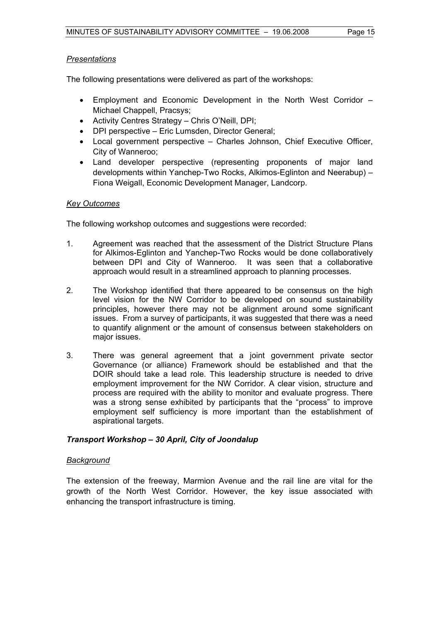### *Presentations*

The following presentations were delivered as part of the workshops:

- Employment and Economic Development in the North West Corridor Michael Chappell, Pracsys;
- Activity Centres Strategy Chris O'Neill, DPI;
- DPI perspective Eric Lumsden, Director General;
- Local government perspective Charles Johnson, Chief Executive Officer, City of Wanneroo;
- Land developer perspective (representing proponents of major land developments within Yanchep-Two Rocks, Alkimos-Eglinton and Neerabup) – Fiona Weigall, Economic Development Manager, Landcorp.

### *Key Outcomes*

The following workshop outcomes and suggestions were recorded:

- 1. Agreement was reached that the assessment of the District Structure Plans for Alkimos-Eglinton and Yanchep-Two Rocks would be done collaboratively between DPI and City of Wanneroo. It was seen that a collaborative approach would result in a streamlined approach to planning processes.
- 2. The Workshop identified that there appeared to be consensus on the high level vision for the NW Corridor to be developed on sound sustainability principles, however there may not be alignment around some significant issues. From a survey of participants, it was suggested that there was a need to quantify alignment or the amount of consensus between stakeholders on major issues.
- 3. There was general agreement that a joint government private sector Governance (or alliance) Framework should be established and that the DOIR should take a lead role. This leadership structure is needed to drive employment improvement for the NW Corridor. A clear vision, structure and process are required with the ability to monitor and evaluate progress. There was a strong sense exhibited by participants that the "process" to improve employment self sufficiency is more important than the establishment of aspirational targets.

### *Transport Workshop – 30 April, City of Joondalup*

### *Background*

The extension of the freeway, Marmion Avenue and the rail line are vital for the growth of the North West Corridor. However, the key issue associated with enhancing the transport infrastructure is timing.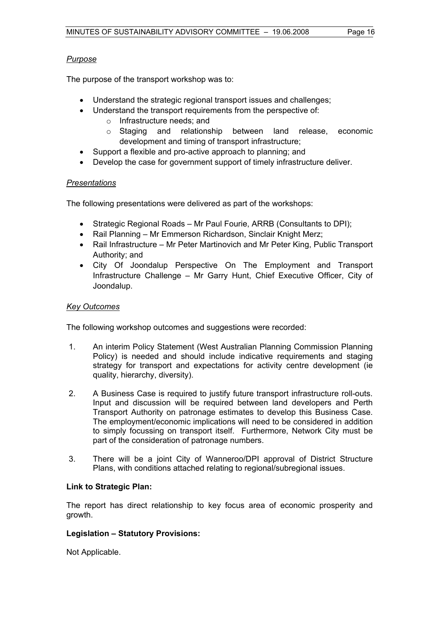### *Purpose*

The purpose of the transport workshop was to:

- Understand the strategic regional transport issues and challenges;
- Understand the transport requirements from the perspective of:
	- o Infrastructure needs; and
	- o Staging and relationship between land release, economic development and timing of transport infrastructure;
	- Support a flexible and pro-active approach to planning; and
- Develop the case for government support of timely infrastructure deliver.

### *Presentations*

The following presentations were delivered as part of the workshops:

- Strategic Regional Roads Mr Paul Fourie, ARRB (Consultants to DPI);
- Rail Planning Mr Emmerson Richardson, Sinclair Knight Merz;
- Rail Infrastructure Mr Peter Martinovich and Mr Peter King, Public Transport Authority; and
- City Of Joondalup Perspective On The Employment and Transport Infrastructure Challenge – Mr Garry Hunt, Chief Executive Officer, City of Joondalup.

### *Key Outcomes*

The following workshop outcomes and suggestions were recorded:

- 1. An interim Policy Statement (West Australian Planning Commission Planning Policy) is needed and should include indicative requirements and staging strategy for transport and expectations for activity centre development (ie quality, hierarchy, diversity).
- 2. A Business Case is required to justify future transport infrastructure roll-outs. Input and discussion will be required between land developers and Perth Transport Authority on patronage estimates to develop this Business Case. The employment/economic implications will need to be considered in addition to simply focussing on transport itself. Furthermore, Network City must be part of the consideration of patronage numbers.
- 3. There will be a joint City of Wanneroo/DPI approval of District Structure Plans, with conditions attached relating to regional/subregional issues.

### **Link to Strategic Plan:**

The report has direct relationship to key focus area of economic prosperity and growth.

### **Legislation – Statutory Provisions:**

Not Applicable.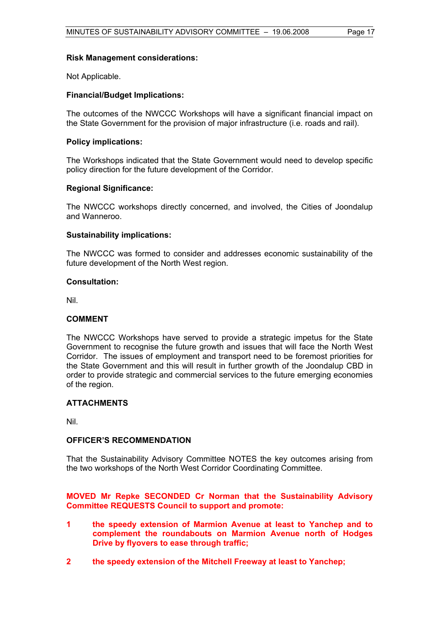#### **Risk Management considerations:**

Not Applicable.

#### **Financial/Budget Implications:**

The outcomes of the NWCCC Workshops will have a significant financial impact on the State Government for the provision of major infrastructure (i.e. roads and rail).

#### **Policy implications:**

The Workshops indicated that the State Government would need to develop specific policy direction for the future development of the Corridor.

#### **Regional Significance:**

The NWCCC workshops directly concerned, and involved, the Cities of Joondalup and Wanneroo.

#### **Sustainability implications:**

The NWCCC was formed to consider and addresses economic sustainability of the future development of the North West region.

#### **Consultation:**

Nil.

#### **COMMENT**

The NWCCC Workshops have served to provide a strategic impetus for the State Government to recognise the future growth and issues that will face the North West Corridor. The issues of employment and transport need to be foremost priorities for the State Government and this will result in further growth of the Joondalup CBD in order to provide strategic and commercial services to the future emerging economies of the region.

#### **ATTACHMENTS**

Nil.

#### **OFFICER'S RECOMMENDATION**

That the Sustainability Advisory Committee NOTES the key outcomes arising from the two workshops of the North West Corridor Coordinating Committee.

#### **MOVED Mr Repke SECONDED Cr Norman that the Sustainability Advisory Committee REQUESTS Council to support and promote:**

- **1 the speedy extension of Marmion Avenue at least to Yanchep and to complement the roundabouts on Marmion Avenue north of Hodges Drive by flyovers to ease through traffic;**
- **2 the speedy extension of the Mitchell Freeway at least to Yanchep;**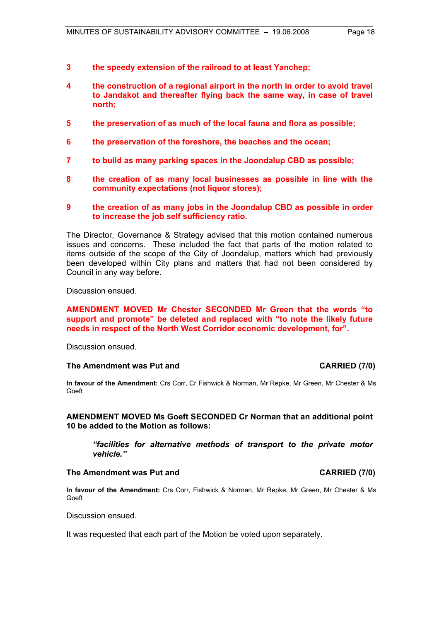- **3 the speedy extension of the railroad to at least Yanchep;**
- **4 the construction of a regional airport in the north in order to avoid travel to Jandakot and thereafter flying back the same way, in case of travel north;**
- **5 the preservation of as much of the local fauna and flora as possible;**
- **6 the preservation of the foreshore, the beaches and the ocean;**
- **7 to build as many parking spaces in the Joondalup CBD as possible;**
- **8 the creation of as many local businesses as possible in line with the community expectations (not liquor stores);**
- **9 the creation of as many jobs in the Joondalup CBD as possible in order to increase the job self sufficiency ratio.**

The Director, Governance & Strategy advised that this motion contained numerous issues and concerns. These included the fact that parts of the motion related to items outside of the scope of the City of Joondalup, matters which had previously been developed within City plans and matters that had not been considered by Council in any way before.

Discussion ensued.

#### **AMENDMENT MOVED Mr Chester SECONDED Mr Green that the words "to support and promote" be deleted and replaced with "to note the likely future needs in respect of the North West Corridor economic development, for".**

Discussion ensued.

#### The Amendment was Put and **CARRIED** (7/0)

**In favour of the Amendment:** Crs Corr, Cr Fishwick & Norman, Mr Repke, Mr Green, Mr Chester & Ms Goeft

**AMENDMENT MOVED Ms Goeft SECONDED Cr Norman that an additional point 10 be added to the Motion as follows:** 

*"facilities for alternative methods of transport to the private motor vehicle."* 

#### The Amendment was Put and **CARRIED** (7/0)

**In favour of the Amendment:** Crs Corr, Fishwick & Norman, Mr Repke, Mr Green, Mr Chester & Ms Goeft

Discussion ensued.

It was requested that each part of the Motion be voted upon separately.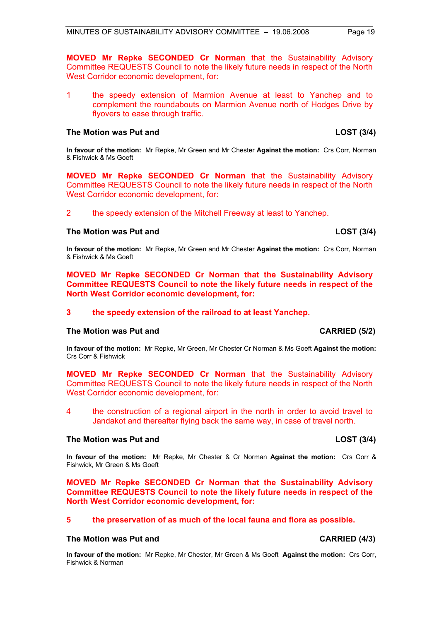**MOVED Mr Repke SECONDED Cr Norman** that the Sustainability Advisory Committee REQUESTS Council to note the likely future needs in respect of the North West Corridor economic development, for:

1 the speedy extension of Marmion Avenue at least to Yanchep and to complement the roundabouts on Marmion Avenue north of Hodges Drive by flyovers to ease through traffic.

#### **The Motion was Put and LOST (3/4)**

**In favour of the motion:** Mr Repke, Mr Green and Mr Chester **Against the motion:** Crs Corr, Norman & Fishwick & Ms Goeft

**MOVED Mr Repke SECONDED Cr Norman** that the Sustainability Advisory Committee REQUESTS Council to note the likely future needs in respect of the North West Corridor economic development, for:

2 the speedy extension of the Mitchell Freeway at least to Yanchep.

#### **The Motion was Put and LOST (3/4)**

**In favour of the motion:** Mr Repke, Mr Green and Mr Chester **Against the motion:** Crs Corr, Norman & Fishwick & Ms Goeft

**MOVED Mr Repke SECONDED Cr Norman that the Sustainability Advisory Committee REQUESTS Council to note the likely future needs in respect of the North West Corridor economic development, for:** 

#### **3 the speedy extension of the railroad to at least Yanchep.**

#### The Motion was Put and **CARRIED** (5/2)

**In favour of the motion:** Mr Repke, Mr Green, Mr Chester Cr Norman & Ms Goeft **Against the motion:** Crs Corr & Fishwick

**MOVED Mr Repke SECONDED Cr Norman** that the Sustainability Advisory Committee REQUESTS Council to note the likely future needs in respect of the North West Corridor economic development, for:

4 the construction of a regional airport in the north in order to avoid travel to Jandakot and thereafter flying back the same way, in case of travel north.

#### The Motion was Put and **LOST** (3/4)

**In favour of the motion:** Mr Repke, Mr Chester & Cr Norman **Against the motion:** Crs Corr & Fishwick, Mr Green & Ms Goeft

**MOVED Mr Repke SECONDED Cr Norman that the Sustainability Advisory Committee REQUESTS Council to note the likely future needs in respect of the North West Corridor economic development, for:** 

### **5 the preservation of as much of the local fauna and flora as possible.**

### **The Motion was Put and CARRIED (4/3)**

**In favour of the motion:** Mr Repke, Mr Chester, Mr Green & Ms Goeft **Against the motion:** Crs Corr, Fishwick & Norman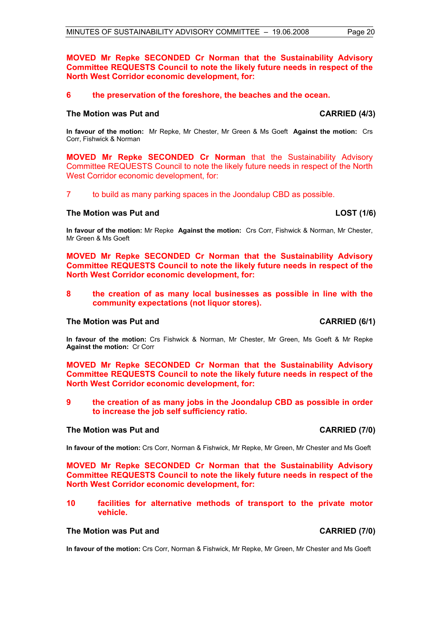### **MOVED Mr Repke SECONDED Cr Norman that the Sustainability Advisory Committee REQUESTS Council to note the likely future needs in respect of the North West Corridor economic development, for:**

### **6 the preservation of the foreshore, the beaches and the ocean.**

### **The Motion was Put and CARRIED (4/3) CARRIED (4/3)**

**In favour of the motion:** Mr Repke, Mr Chester, Mr Green & Ms Goeft **Against the motion:** Crs Corr, Fishwick & Norman

**MOVED Mr Repke SECONDED Cr Norman** that the Sustainability Advisory Committee REQUESTS Council to note the likely future needs in respect of the North West Corridor economic development, for:

7 to build as many parking spaces in the Joondalup CBD as possible.

#### **The Motion was Put and LOST (1/6)**

**In favour of the motion:** Mr Repke **Against the motion:** Crs Corr, Fishwick & Norman, Mr Chester, Mr Green & Ms Goeft

**MOVED Mr Repke SECONDED Cr Norman that the Sustainability Advisory Committee REQUESTS Council to note the likely future needs in respect of the North West Corridor economic development, for:** 

#### **8 the creation of as many local businesses as possible in line with the community expectations (not liquor stores).**

#### The Motion was Put and **CARRIED** (6/1)

**In favour of the motion:** Crs Fishwick & Norman, Mr Chester, Mr Green, Ms Goeft & Mr Repke **Against the motion:** Cr Corr

**MOVED Mr Repke SECONDED Cr Norman that the Sustainability Advisory Committee REQUESTS Council to note the likely future needs in respect of the North West Corridor economic development, for:** 

**9 the creation of as many jobs in the Joondalup CBD as possible in order to increase the job self sufficiency ratio.** 

#### The Motion was Put and **CARRIED** (7/0)

**In favour of the motion:** Crs Corr, Norman & Fishwick, Mr Repke, Mr Green, Mr Chester and Ms Goeft

**MOVED Mr Repke SECONDED Cr Norman that the Sustainability Advisory Committee REQUESTS Council to note the likely future needs in respect of the North West Corridor economic development, for:** 

**10 facilities for alternative methods of transport to the private motor vehicle.** 

#### The Motion was Put and **CARRIED** (7/0)

**In favour of the motion:** Crs Corr, Norman & Fishwick, Mr Repke, Mr Green, Mr Chester and Ms Goeft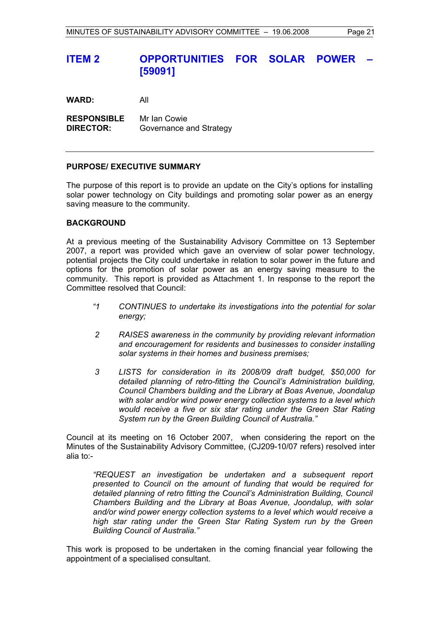## **ITEM 2 OPPORTUNITIES FOR SOLAR POWER [59091]**

**WARD:** All

**RESPONSIBLE** Mr Ian Cowie **DIRECTOR:** Governance and Strategy

#### **PURPOSE/ EXECUTIVE SUMMARY**

The purpose of this report is to provide an update on the City's options for installing solar power technology on City buildings and promoting solar power as an energy saving measure to the community.

#### **BACKGROUND**

At a previous meeting of the Sustainability Advisory Committee on 13 September 2007, a report was provided which gave an overview of solar power technology, potential projects the City could undertake in relation to solar power in the future and options for the promotion of solar power as an energy saving measure to the community. This report is provided as Attachment 1. In response to the report the Committee resolved that Council:

- *"1 CONTINUES to undertake its investigations into the potential for solar energy;*
- *2 RAISES awareness in the community by providing relevant information and encouragement for residents and businesses to consider installing solar systems in their homes and business premises;*
- *3 LISTS for consideration in its 2008/09 draft budget, \$50,000 for detailed planning of retro-fitting the Council's Administration building, Council Chambers building and the Library at Boas Avenue, Joondalup with solar and/or wind power energy collection systems to a level which would receive a five or six star rating under the Green Star Rating System run by the Green Building Council of Australia."*

Council at its meeting on 16 October 2007, when considering the report on the Minutes of the Sustainability Advisory Committee, (CJ209-10/07 refers) resolved inter alia to:-

*"REQUEST an investigation be undertaken and a subsequent report presented to Council on the amount of funding that would be required for detailed planning of retro fitting the Council's Administration Building, Council Chambers Building and the Library at Boas Avenue, Joondalup, with solar and/or wind power energy collection systems to a level which would receive a high star rating under the Green Star Rating System run by the Green Building Council of Australia."* 

This work is proposed to be undertaken in the coming financial year following the appointment of a specialised consultant.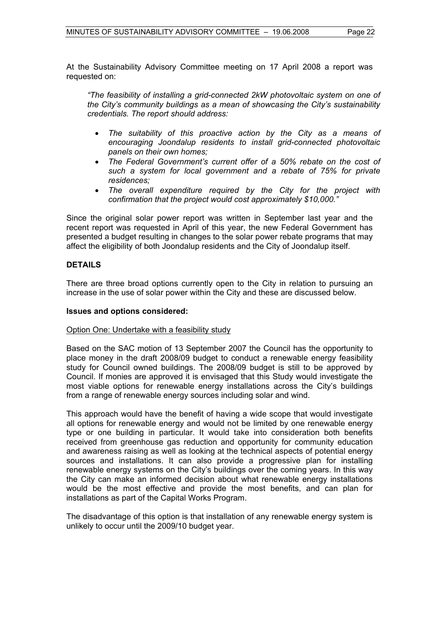At the Sustainability Advisory Committee meeting on 17 April 2008 a report was requested on:

*"The feasibility of installing a grid-connected 2kW photovoltaic system on one of the City's community buildings as a mean of showcasing the City's sustainability credentials. The report should address:* 

- *The suitability of this proactive action by the City as a means of encouraging Joondalup residents to install grid-connected photovoltaic panels on their own homes;*
- *The Federal Government's current offer of a 50% rebate on the cost of such a system for local government and a rebate of 75% for private residences;*
- *The overall expenditure required by the City for the project with confirmation that the project would cost approximately \$10,000."*

Since the original solar power report was written in September last year and the recent report was requested in April of this year, the new Federal Government has presented a budget resulting in changes to the solar power rebate programs that may affect the eligibility of both Joondalup residents and the City of Joondalup itself.

#### **DETAILS**

There are three broad options currently open to the City in relation to pursuing an increase in the use of solar power within the City and these are discussed below.

#### **Issues and options considered:**

#### Option One: Undertake with a feasibility study

Based on the SAC motion of 13 September 2007 the Council has the opportunity to place money in the draft 2008/09 budget to conduct a renewable energy feasibility study for Council owned buildings. The 2008/09 budget is still to be approved by Council. If monies are approved it is envisaged that this Study would investigate the most viable options for renewable energy installations across the City's buildings from a range of renewable energy sources including solar and wind.

This approach would have the benefit of having a wide scope that would investigate all options for renewable energy and would not be limited by one renewable energy type or one building in particular. It would take into consideration both benefits received from greenhouse gas reduction and opportunity for community education and awareness raising as well as looking at the technical aspects of potential energy sources and installations. It can also provide a progressive plan for installing renewable energy systems on the City's buildings over the coming years. In this way the City can make an informed decision about what renewable energy installations would be the most effective and provide the most benefits, and can plan for installations as part of the Capital Works Program.

The disadvantage of this option is that installation of any renewable energy system is unlikely to occur until the 2009/10 budget year.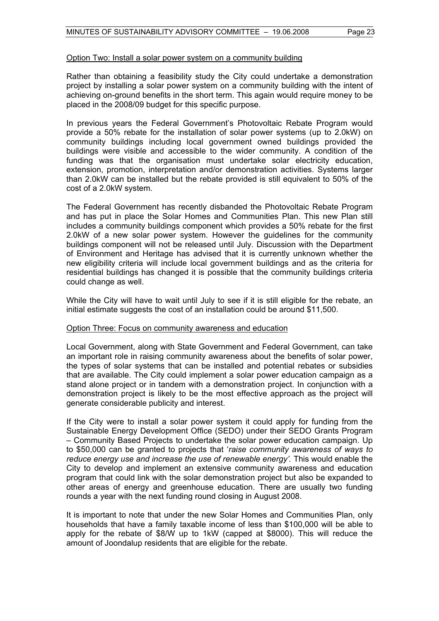#### Option Two: Install a solar power system on a community building

Rather than obtaining a feasibility study the City could undertake a demonstration project by installing a solar power system on a community building with the intent of achieving on-ground benefits in the short term. This again would require money to be placed in the 2008/09 budget for this specific purpose.

In previous years the Federal Government's Photovoltaic Rebate Program would provide a 50% rebate for the installation of solar power systems (up to 2.0kW) on community buildings including local government owned buildings provided the buildings were visible and accessible to the wider community. A condition of the funding was that the organisation must undertake solar electricity education, extension, promotion, interpretation and/or demonstration activities. Systems larger than 2.0kW can be installed but the rebate provided is still equivalent to 50% of the cost of a 2.0kW system.

The Federal Government has recently disbanded the Photovoltaic Rebate Program and has put in place the Solar Homes and Communities Plan. This new Plan still includes a community buildings component which provides a 50% rebate for the first 2.0kW of a new solar power system. However the guidelines for the community buildings component will not be released until July. Discussion with the Department of Environment and Heritage has advised that it is currently unknown whether the new eligibility criteria will include local government buildings and as the criteria for residential buildings has changed it is possible that the community buildings criteria could change as well.

While the City will have to wait until July to see if it is still eligible for the rebate, an initial estimate suggests the cost of an installation could be around \$11,500.

#### Option Three: Focus on community awareness and education

Local Government, along with State Government and Federal Government, can take an important role in raising community awareness about the benefits of solar power, the types of solar systems that can be installed and potential rebates or subsidies that are available. The City could implement a solar power education campaign as a stand alone project or in tandem with a demonstration project. In conjunction with a demonstration project is likely to be the most effective approach as the project will generate considerable publicity and interest.

If the City were to install a solar power system it could apply for funding from the Sustainable Energy Development Office (SEDO) under their SEDO Grants Program – Community Based Projects to undertake the solar power education campaign. Up to \$50,000 can be granted to projects that '*raise community awareness of ways to reduce energy use and increase the use of renewable energy'.* This would enable the City to develop and implement an extensive community awareness and education program that could link with the solar demonstration project but also be expanded to other areas of energy and greenhouse education. There are usually two funding rounds a year with the next funding round closing in August 2008.

It is important to note that under the new Solar Homes and Communities Plan, only households that have a family taxable income of less than \$100,000 will be able to apply for the rebate of \$8/W up to 1kW (capped at \$8000). This will reduce the amount of Joondalup residents that are eligible for the rebate.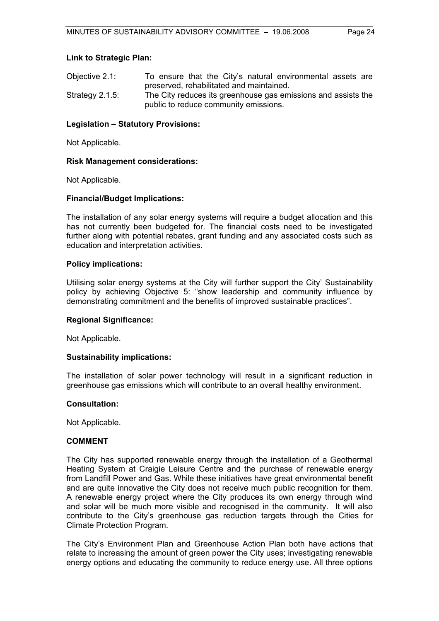#### **Link to Strategic Plan:**

| Objective 2.1:     | To ensure that the City's natural environmental assets are    |
|--------------------|---------------------------------------------------------------|
|                    | preserved, rehabilitated and maintained.                      |
| Strategy $2.1.5$ : | The City reduces its greenhouse gas emissions and assists the |
|                    | public to reduce community emissions.                         |

#### **Legislation – Statutory Provisions:**

Not Applicable.

#### **Risk Management considerations:**

Not Applicable.

#### **Financial/Budget Implications:**

The installation of any solar energy systems will require a budget allocation and this has not currently been budgeted for. The financial costs need to be investigated further along with potential rebates, grant funding and any associated costs such as education and interpretation activities.

#### **Policy implications:**

Utilising solar energy systems at the City will further support the City' Sustainability policy by achieving Objective 5: "show leadership and community influence by demonstrating commitment and the benefits of improved sustainable practices".

#### **Regional Significance:**

Not Applicable.

#### **Sustainability implications:**

The installation of solar power technology will result in a significant reduction in greenhouse gas emissions which will contribute to an overall healthy environment.

#### **Consultation:**

Not Applicable.

#### **COMMENT**

The City has supported renewable energy through the installation of a Geothermal Heating System at Craigie Leisure Centre and the purchase of renewable energy from Landfill Power and Gas. While these initiatives have great environmental benefit and are quite innovative the City does not receive much public recognition for them. A renewable energy project where the City produces its own energy through wind and solar will be much more visible and recognised in the community. It will also contribute to the City's greenhouse gas reduction targets through the Cities for Climate Protection Program.

The City's Environment Plan and Greenhouse Action Plan both have actions that relate to increasing the amount of green power the City uses; investigating renewable energy options and educating the community to reduce energy use. All three options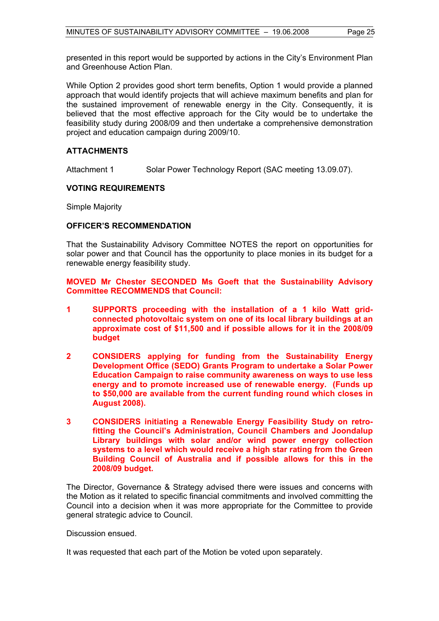presented in this report would be supported by actions in the City's Environment Plan and Greenhouse Action Plan.

While Option 2 provides good short term benefits, Option 1 would provide a planned approach that would identify projects that will achieve maximum benefits and plan for the sustained improvement of renewable energy in the City. Consequently, it is believed that the most effective approach for the City would be to undertake the feasibility study during 2008/09 and then undertake a comprehensive demonstration project and education campaign during 2009/10.

#### **ATTACHMENTS**

Attachment 1 Solar Power Technology Report (SAC meeting 13.09.07).

### **VOTING REQUIREMENTS**

Simple Majority

#### **OFFICER'S RECOMMENDATION**

That the Sustainability Advisory Committee NOTES the report on opportunities for solar power and that Council has the opportunity to place monies in its budget for a renewable energy feasibility study.

#### **MOVED Mr Chester SECONDED Ms Goeft that the Sustainability Advisory Committee RECOMMENDS that Council:**

- **1 SUPPORTS proceeding with the installation of a 1 kilo Watt gridconnected photovoltaic system on one of its local library buildings at an approximate cost of \$11,500 and if possible allows for it in the 2008/09 budget**
- **2 CONSIDERS applying for funding from the Sustainability Energy Development Office (SEDO) Grants Program to undertake a Solar Power Education Campaign to raise community awareness on ways to use less energy and to promote increased use of renewable energy. (Funds up to \$50,000 are available from the current funding round which closes in August 2008).**
- **3 CONSIDERS initiating a Renewable Energy Feasibility Study on retrofitting the Council's Administration, Council Chambers and Joondalup Library buildings with solar and/or wind power energy collection systems to a level which would receive a high star rating from the Green Building Council of Australia and if possible allows for this in the 2008/09 budget.**

The Director, Governance & Strategy advised there were issues and concerns with the Motion as it related to specific financial commitments and involved committing the Council into a decision when it was more appropriate for the Committee to provide general strategic advice to Council.

Discussion ensued.

It was requested that each part of the Motion be voted upon separately.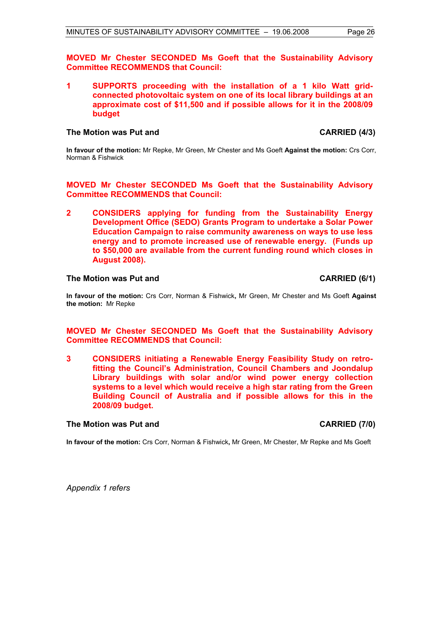**MOVED Mr Chester SECONDED Ms Goeft that the Sustainability Advisory Committee RECOMMENDS that Council:** 

**1 SUPPORTS proceeding with the installation of a 1 kilo Watt gridconnected photovoltaic system on one of its local library buildings at an approximate cost of \$11,500 and if possible allows for it in the 2008/09 budget** 

#### **The Motion was Put and CARRIED (4/3)**

**In favour of the motion:** Mr Repke, Mr Green, Mr Chester and Ms Goeft **Against the motion:** Crs Corr, Norman & Fishwick

**MOVED Mr Chester SECONDED Ms Goeft that the Sustainability Advisory Committee RECOMMENDS that Council:** 

**2 CONSIDERS applying for funding from the Sustainability Energy Development Office (SEDO) Grants Program to undertake a Solar Power Education Campaign to raise community awareness on ways to use less energy and to promote increased use of renewable energy. (Funds up to \$50,000 are available from the current funding round which closes in August 2008).** 

#### The Motion was Put and **CARRIED** (6/1)

**In favour of the motion:** Crs Corr, Norman & Fishwick**,** Mr Green, Mr Chester and Ms Goeft **Against the motion:** Mr Repke

#### **MOVED Mr Chester SECONDED Ms Goeft that the Sustainability Advisory Committee RECOMMENDS that Council:**

**3 CONSIDERS initiating a Renewable Energy Feasibility Study on retrofitting the Council's Administration, Council Chambers and Joondalup Library buildings with solar and/or wind power energy collection systems to a level which would receive a high star rating from the Green Building Council of Australia and if possible allows for this in the 2008/09 budget.** 

### **The Motion was Put and CARRIED (7/0)**

**In favour of the motion:** Crs Corr, Norman & Fishwick**,** Mr Green, Mr Chester, Mr Repke and Ms Goeft

*Appendix 1 refers*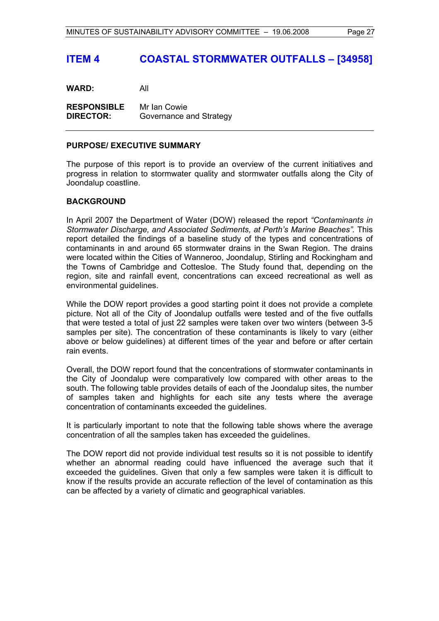## **ITEM 4 COASTAL STORMWATER OUTFALLS – [34958]**

**WARD:** All

**RESPONSIBLE** Mr Ian Cowie **DIRECTOR:** Governance and Strategy

#### **PURPOSE/ EXECUTIVE SUMMARY**

The purpose of this report is to provide an overview of the current initiatives and progress in relation to stormwater quality and stormwater outfalls along the City of Joondalup coastline.

#### **BACKGROUND**

In April 2007 the Department of Water (DOW) released the report *"Contaminants in Stormwater Discharge, and Associated Sediments, at Perth's Marine Beaches".* This report detailed the findings of a baseline study of the types and concentrations of contaminants in and around 65 stormwater drains in the Swan Region. The drains were located within the Cities of Wanneroo, Joondalup, Stirling and Rockingham and the Towns of Cambridge and Cottesloe. The Study found that, depending on the region, site and rainfall event, concentrations can exceed recreational as well as environmental guidelines.

While the DOW report provides a good starting point it does not provide a complete picture. Not all of the City of Joondalup outfalls were tested and of the five outfalls that were tested a total of just 22 samples were taken over two winters (between 3-5 samples per site). The concentration of these contaminants is likely to vary (either above or below guidelines) at different times of the year and before or after certain rain events.

Overall, the DOW report found that the concentrations of stormwater contaminants in the City of Joondalup were comparatively low compared with other areas to the south. The following table provides details of each of the Joondalup sites, the number of samples taken and highlights for each site any tests where the average concentration of contaminants exceeded the guidelines.

It is particularly important to note that the following table shows where the average concentration of all the samples taken has exceeded the guidelines.

The DOW report did not provide individual test results so it is not possible to identify whether an abnormal reading could have influenced the average such that it exceeded the guidelines. Given that only a few samples were taken it is difficult to know if the results provide an accurate reflection of the level of contamination as this can be affected by a variety of climatic and geographical variables.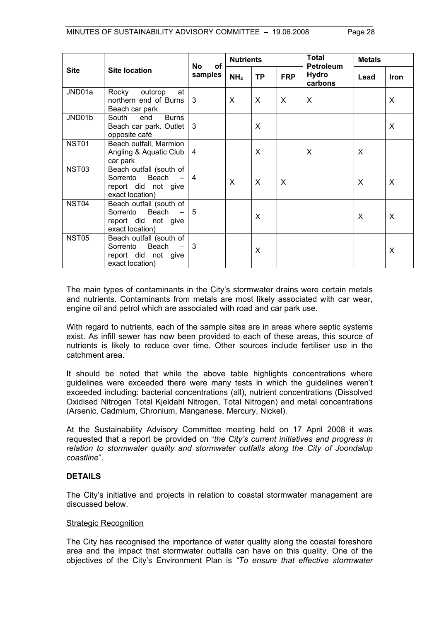|                   |                                                                                        |                | <b>Nutrients</b><br>of |           | Total        | <b>Metals</b>                               |      |             |
|-------------------|----------------------------------------------------------------------------------------|----------------|------------------------|-----------|--------------|---------------------------------------------|------|-------------|
| <b>Site</b>       | <b>Site location</b>                                                                   | No<br>samples  | NH <sub>4</sub>        | <b>TP</b> | <b>FRP</b>   | <b>Petroleum</b><br><b>Hydro</b><br>carbons | Lead | <b>Iron</b> |
| JND01a            | Rocky<br>outcrop<br>at<br>northern end of Burns<br>Beach car park                      | 3              | X                      | X         | $\mathsf{X}$ | X                                           |      | $\sf X$     |
| JND01b            | <b>Burns</b><br>South<br>end<br>Beach car park. Outlet<br>opposite café                | 3              |                        | X         |              |                                             |      | X           |
| <b>NST01</b>      | Beach outfall, Marmion<br>Angling & Aquatic Club<br>car park                           | $\overline{4}$ |                        | X         |              | X                                           | X    |             |
| NST <sub>03</sub> | Beach outfall (south of<br>Sorrento<br>Beach<br>report did not give<br>exact location) | $\overline{4}$ | X                      | X         | X            |                                             | X    | X           |
| NST04             | Beach outfall (south of<br>Beach<br>Sorrento<br>report did not give<br>exact location) | 5              |                        | X         |              |                                             | X    | X           |
| NST <sub>05</sub> | Beach outfall (south of<br>Beach<br>Sorrento<br>report did not give<br>exact location) | 3              |                        | X         |              |                                             |      | X           |

The main types of contaminants in the City's stormwater drains were certain metals and nutrients. Contaminants from metals are most likely associated with car wear, engine oil and petrol which are associated with road and car park use.

With regard to nutrients, each of the sample sites are in areas where septic systems exist. As infill sewer has now been provided to each of these areas, this source of nutrients is likely to reduce over time. Other sources include fertiliser use in the catchment area.

It should be noted that while the above table highlights concentrations where guidelines were exceeded there were many tests in which the guidelines weren't exceeded including: bacterial concentrations (all), nutrient concentrations (Dissolved Oxidised Nitrogen Total Kjeldahl Nitrogen, Total Nitrogen) and metal concentrations (Arsenic, Cadmium, Chronium, Manganese, Mercury, Nickel).

At the Sustainability Advisory Committee meeting held on 17 April 2008 it was requested that a report be provided on "*the City's current initiatives and progress in relation to stormwater quality and stormwater outfalls along the City of Joondalup coastline*".

### **DETAILS**

The City's initiative and projects in relation to coastal stormwater management are discussed below.

#### Strategic Recognition

The City has recognised the importance of water quality along the coastal foreshore area and the impact that stormwater outfalls can have on this quality. One of the objectives of the City's Environment Plan is *"To ensure that effective stormwater*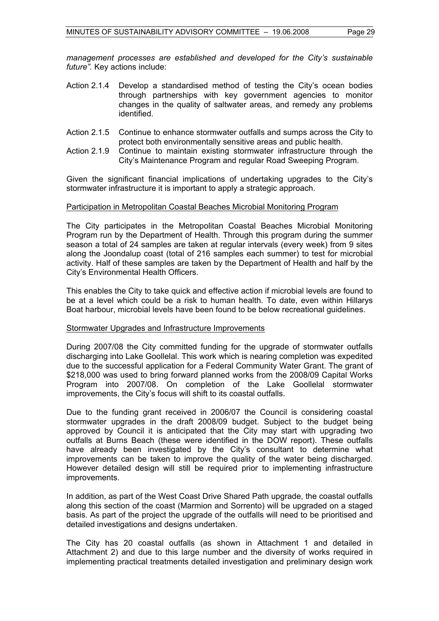*management processes are established and developed for the City's sustainable future".* Key actions include:

- Action 2.1.4 Develop a standardised method of testing the City's ocean bodies through partnerships with key government agencies to monitor changes in the quality of saltwater areas, and remedy any problems identified.
- Action 2.1.5 Continue to enhance stormwater outfalls and sumps across the City to protect both environmentally sensitive areas and public health.
- Action 2.1.9 Continue to maintain existing stormwater infrastructure through the City's Maintenance Program and regular Road Sweeping Program.

Given the significant financial implications of undertaking upgrades to the City's stormwater infrastructure it is important to apply a strategic approach.

#### Participation in Metropolitan Coastal Beaches Microbial Monitoring Program

The City participates in the Metropolitan Coastal Beaches Microbial Monitoring Program run by the Department of Health. Through this program during the summer season a total of 24 samples are taken at regular intervals (every week) from 9 sites along the Joondalup coast (total of 216 samples each summer) to test for microbial activity. Half of these samples are taken by the Department of Health and half by the City's Environmental Health Officers.

This enables the City to take quick and effective action if microbial levels are found to be at a level which could be a risk to human health. To date, even within Hillarys Boat harbour, microbial levels have been found to be below recreational guidelines.

#### Stormwater Upgrades and Infrastructure Improvements

During 2007/08 the City committed funding for the upgrade of stormwater outfalls discharging into Lake Goollelal. This work which is nearing completion was expedited due to the successful application for a Federal Community Water Grant. The grant of \$218,000 was used to bring forward planned works from the 2008/09 Capital Works Program into 2007/08. On completion of the Lake Goollelal stormwater improvements, the City's focus will shift to its coastal outfalls.

Due to the funding grant received in 2006/07 the Council is considering coastal stormwater upgrades in the draft 2008/09 budget. Subject to the budget being approved by Council it is anticipated that the City may start with upgrading two outfalls at Burns Beach (these were identified in the DOW report). These outfalls have already been investigated by the City's consultant to determine what improvements can be taken to improve the quality of the water being discharged. However detailed design will still be required prior to implementing infrastructure improvements.

In addition, as part of the West Coast Drive Shared Path upgrade, the coastal outfalls along this section of the coast (Marmion and Sorrento) will be upgraded on a staged basis. As part of the project the upgrade of the outfalls will need to be prioritised and detailed investigations and designs undertaken.

The City has 20 coastal outfalls (as shown in Attachment 1 and detailed in Attachment 2) and due to this large number and the diversity of works required in implementing practical treatments detailed investigation and preliminary design work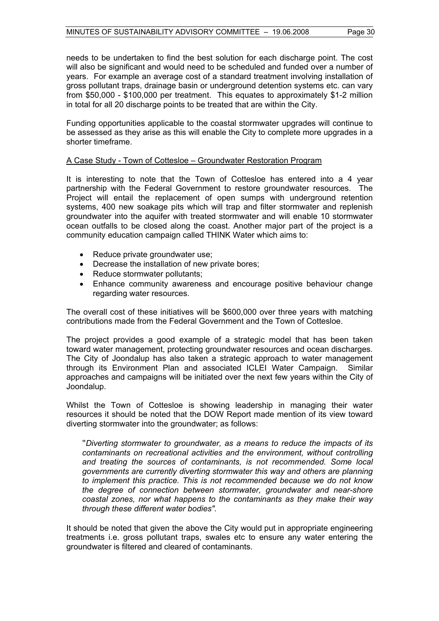needs to be undertaken to find the best solution for each discharge point. The cost will also be significant and would need to be scheduled and funded over a number of years. For example an average cost of a standard treatment involving installation of gross pollutant traps, drainage basin or underground detention systems etc. can vary from \$50,000 - \$100,000 per treatment. This equates to approximately \$1-2 million in total for all 20 discharge points to be treated that are within the City.

Funding opportunities applicable to the coastal stormwater upgrades will continue to be assessed as they arise as this will enable the City to complete more upgrades in a shorter timeframe.

#### A Case Study - Town of Cottesloe – Groundwater Restoration Program

It is interesting to note that the Town of Cottesloe has entered into a 4 year partnership with the Federal Government to restore groundwater resources. The Project will entail the replacement of open sumps with underground retention systems, 400 new soakage pits which will trap and filter stormwater and replenish groundwater into the aquifer with treated stormwater and will enable 10 stormwater ocean outfalls to be closed along the coast. Another major part of the project is a community education campaign called THINK Water which aims to:

- Reduce private groundwater use;
- Decrease the installation of new private bores;
- Reduce stormwater pollutants;
- Enhance community awareness and encourage positive behaviour change regarding water resources.

The overall cost of these initiatives will be \$600,000 over three years with matching contributions made from the Federal Government and the Town of Cottesloe.

The project provides a good example of a strategic model that has been taken toward water management, protecting groundwater resources and ocean discharges. The City of Joondalup has also taken a strategic approach to water management through its Environment Plan and associated ICLEI Water Campaign. Similar approaches and campaigns will be initiated over the next few years within the City of Joondalup.

Whilst the Town of Cottesloe is showing leadership in managing their water resources it should be noted that the DOW Report made mention of its view toward diverting stormwater into the groundwater; as follows:

"*Diverting stormwater to groundwater, as a means to reduce the impacts of its contaminants on recreational activities and the environment, without controlling and treating the sources of contaminants, is not recommended. Some local governments are currently diverting stormwater this way and others are planning to implement this practice. This is not recommended because we do not know the degree of connection between stormwater, groundwater and near-shore coastal zones, nor what happens to the contaminants as they make their way through these different water bodies".* 

It should be noted that given the above the City would put in appropriate engineering treatments i.e. gross pollutant traps, swales etc to ensure any water entering the groundwater is filtered and cleared of contaminants.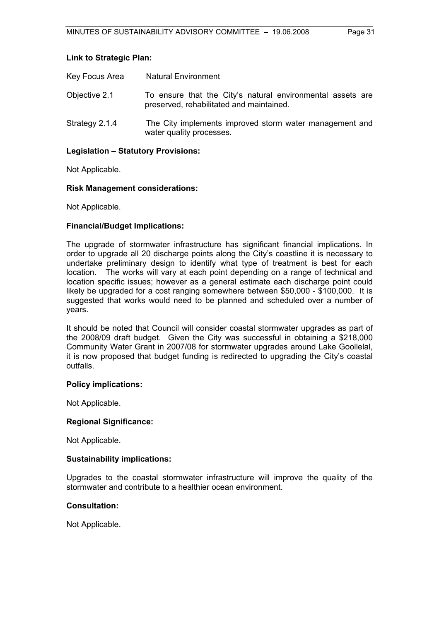#### **Link to Strategic Plan:**

| Key Focus Area | <b>Natural Environment</b>                                                                             |
|----------------|--------------------------------------------------------------------------------------------------------|
| Objective 2.1  | To ensure that the City's natural environmental assets are<br>preserved, rehabilitated and maintained. |
| Strategy 2.1.4 | The City implements improved storm water management and<br>water quality processes.                    |

#### **Legislation – Statutory Provisions:**

Not Applicable.

#### **Risk Management considerations:**

Not Applicable.

#### **Financial/Budget Implications:**

The upgrade of stormwater infrastructure has significant financial implications. In order to upgrade all 20 discharge points along the City's coastline it is necessary to undertake preliminary design to identify what type of treatment is best for each location. The works will vary at each point depending on a range of technical and location specific issues; however as a general estimate each discharge point could likely be upgraded for a cost ranging somewhere between \$50,000 - \$100,000. It is suggested that works would need to be planned and scheduled over a number of years.

It should be noted that Council will consider coastal stormwater upgrades as part of the 2008/09 draft budget. Given the City was successful in obtaining a \$218,000 Community Water Grant in 2007/08 for stormwater upgrades around Lake Goollelal, it is now proposed that budget funding is redirected to upgrading the City's coastal outfalls.

#### **Policy implications:**

Not Applicable.

#### **Regional Significance:**

Not Applicable.

#### **Sustainability implications:**

Upgrades to the coastal stormwater infrastructure will improve the quality of the stormwater and contribute to a healthier ocean environment.

#### **Consultation:**

Not Applicable.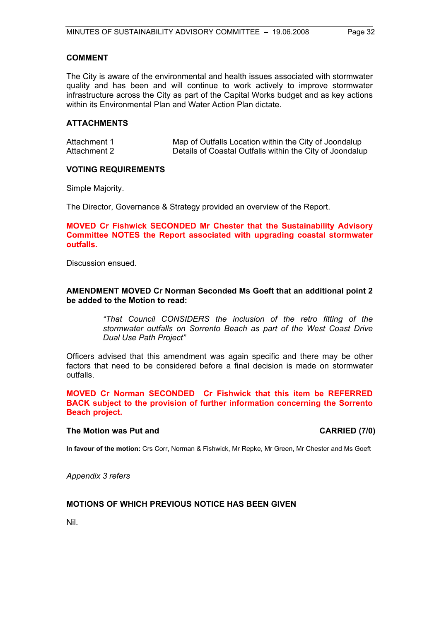#### **COMMENT**

The City is aware of the environmental and health issues associated with stormwater quality and has been and will continue to work actively to improve stormwater infrastructure across the City as part of the Capital Works budget and as key actions within its Environmental Plan and Water Action Plan dictate.

#### **ATTACHMENTS**

| Attachment 1 | Map of Outfalls Location within the City of Joondalup    |
|--------------|----------------------------------------------------------|
| Attachment 2 | Details of Coastal Outfalls within the City of Joondalup |

#### **VOTING REQUIREMENTS**

Simple Majority.

The Director, Governance & Strategy provided an overview of the Report.

**MOVED Cr Fishwick SECONDED Mr Chester that the Sustainability Advisory Committee NOTES the Report associated with upgrading coastal stormwater outfalls.** 

Discussion ensued.

#### **AMENDMENT MOVED Cr Norman Seconded Ms Goeft that an additional point 2 be added to the Motion to read:**

*"That Council CONSIDERS the inclusion of the retro fitting of the stormwater outfalls on Sorrento Beach as part of the West Coast Drive Dual Use Path Project"* 

Officers advised that this amendment was again specific and there may be other factors that need to be considered before a final decision is made on stormwater outfalls.

**MOVED Cr Norman SECONDED Cr Fishwick that this item be REFERRED BACK subject to the provision of further information concerning the Sorrento Beach project.** 

#### The Motion was Put and **CARRIED** (7/0)

**In favour of the motion:** Crs Corr, Norman & Fishwick, Mr Repke, Mr Green, Mr Chester and Ms Goeft

*Appendix 3 refers* 

### **MOTIONS OF WHICH PREVIOUS NOTICE HAS BEEN GIVEN**

Nil.